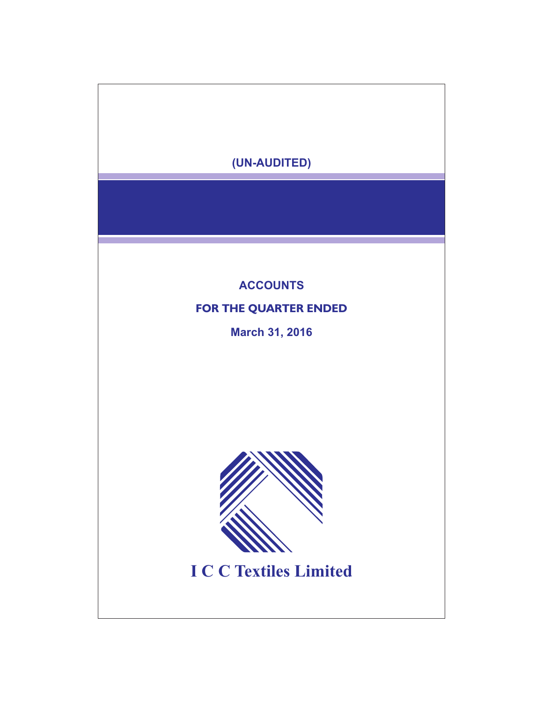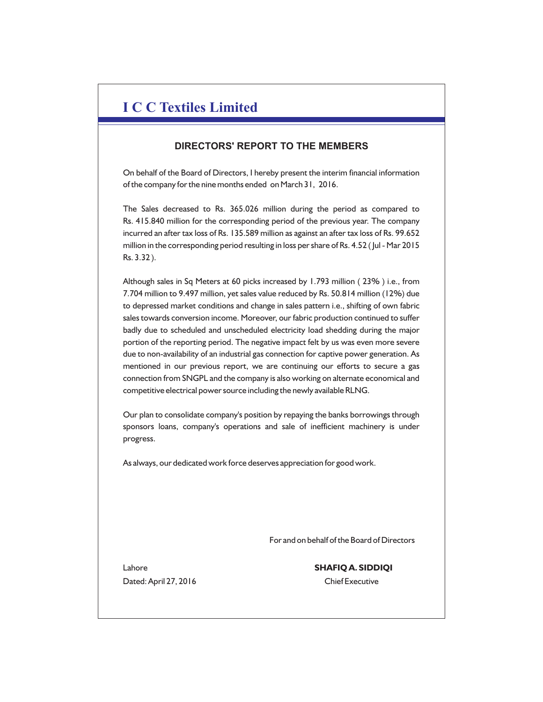# **I C C Textiles Limited**

# **DIRECTORS' REPORT TO THE MEMBERS**

On behalf of the Board of Directors, I hereby present the interim financial information of the company for the nine months ended on March 31, 2016.

The Sales decreased to Rs. 365.026 million during the period as compared to Rs. 415.840 million for the corresponding period of the previous year. The company incurred an after tax loss of Rs. 135.589 million as against an after tax loss of Rs. 99.652 million in the corresponding period resulting in loss per share of Rs. 4.52 ( Jul - Mar 2015 Rs. 3.32 ).

Although sales in Sq Meters at 60 picks increased by 1.793 million ( 23% ) i.e., from 7.704 million to 9.497 million, yet sales value reduced by Rs. 50.814 million (12%) due to depressed market conditions and change in sales pattern i.e., shifting of own fabric sales towards conversion income. Moreover, our fabric production continued to suffer badly due to scheduled and unscheduled electricity load shedding during the major portion of the reporting period. The negative impact felt by us was even more severe due to non-availability of an industrial gas connection for captive power generation. As mentioned in our previous report, we are continuing our efforts to secure a gas connection from SNGPL and the company is also working on alternate economical and competitive electrical power source including the newly available RLNG.

Our plan to consolidate company's position by repaying the banks borrowings through sponsors loans, company's operations and sale of inefficient machinery is under progress.

As always, our dedicated work force deserves appreciation for good work.

For and on behalf of the Board of Directors

Dated: April 27, 2016 Chief Executive

Lahore **SHAFIQ A. SIDDIQI**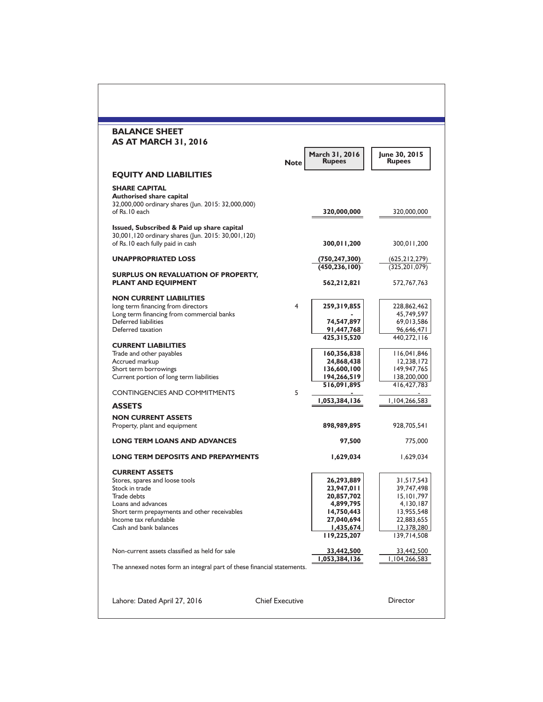| <b>BALANCE SHEET</b><br><b>AS AT MARCH 31, 2016</b>                                                                                                                                                               |                        |                                                                                                             |                                                                                                                |
|-------------------------------------------------------------------------------------------------------------------------------------------------------------------------------------------------------------------|------------------------|-------------------------------------------------------------------------------------------------------------|----------------------------------------------------------------------------------------------------------------|
|                                                                                                                                                                                                                   | <b>Note</b>            | March 31, 2016<br><b>Rupees</b>                                                                             | June 30, 2015<br><b>Rupees</b>                                                                                 |
| <b>EQUITY AND LIABILITIES</b>                                                                                                                                                                                     |                        |                                                                                                             |                                                                                                                |
| <b>SHARE CAPITAL</b><br><b>Authorised share capital</b><br>32,000,000 ordinary shares (Jun. 2015: 32,000,000)<br>of Rs. 10 each                                                                                   |                        | 320,000,000                                                                                                 | 320,000,000                                                                                                    |
| Issued, Subscribed & Paid up share capital<br>30,001,120 ordinary shares (Jun. 2015: 30,001,120)<br>of Rs.10 each fully paid in cash                                                                              |                        | 300,011,200                                                                                                 | 300,011,200                                                                                                    |
| <b>UNAPPROPRIATED LOSS</b>                                                                                                                                                                                        |                        | (750, 247, 300)<br>(450, 236, 100)                                                                          | (625, 212, 279)<br>(325, 201, 079)                                                                             |
| <b>SURPLUS ON REVALUATION OF PROPERTY,</b><br><b>PLANT AND EQUIPMENT</b>                                                                                                                                          |                        | 562,212,821                                                                                                 | 572,767,763                                                                                                    |
| <b>NON CURRENT LIABILITIES</b><br>long term financing from directors<br>Long term financing from commercial banks<br>Deferred liabilities                                                                         | 4                      | 259,319,855                                                                                                 | 228,862,462<br>45,749,597                                                                                      |
| Deferred taxation                                                                                                                                                                                                 |                        | 74,547,897<br>91,447,768<br>425,315,520                                                                     | 69,013,586<br>96,646,471<br>440,272,116                                                                        |
| <b>CURRENT LIABILITIES</b><br>Trade and other payables<br>Accrued markup<br>Short term borrowings<br>Current portion of long term liabilities                                                                     |                        | 160,356,838<br>24,868,438<br>136,600,100<br>194,266,519                                                     | 116,041,846<br>12,238,172<br>149,947,765<br>138,200,000                                                        |
| <b>CONTINGENCIES AND COMMITMENTS</b>                                                                                                                                                                              | 5                      | 516,091,895<br>1,053,384,136                                                                                | 416, 427, 783<br>1,104,266,583                                                                                 |
| <b>ASSETS</b>                                                                                                                                                                                                     |                        |                                                                                                             |                                                                                                                |
| <b>NON CURRENT ASSETS</b><br>Property, plant and equipment                                                                                                                                                        |                        | 898,989,895                                                                                                 | 928,705,541                                                                                                    |
| <b>LONG TERM LOANS AND ADVANCES</b>                                                                                                                                                                               |                        | 97,500                                                                                                      | 775,000                                                                                                        |
| <b>LONG TERM DEPOSITS AND PREPAYMENTS</b>                                                                                                                                                                         |                        | 1,629,034                                                                                                   | 1,629,034                                                                                                      |
| <b>CURRENT ASSETS</b><br>Stores, spares and loose tools<br>Stock in trade<br>Trade debts<br>Loans and advances<br>Short term prepayments and other receivables<br>Income tax refundable<br>Cash and bank balances |                        | 26,293,889<br>23,947,011<br>20,857,702<br>4,899,795<br>14,750,443<br>27,040,694<br>1,435,674<br>119,225,207 | 31,517,543<br>39,747,498<br>15, 101, 797<br>4,130,187<br>13,955,548<br>22,883,655<br>12,378,280<br>139,714,508 |
| Non-current assets classified as held for sale                                                                                                                                                                    |                        | 33,442,500<br>1,053,384,136                                                                                 | 33,442,500<br>1,104,266,583                                                                                    |
| The annexed notes form an integral part of these financial statements.<br>Lahore: Dated April 27, 2016                                                                                                            | <b>Chief Executive</b> |                                                                                                             | Director                                                                                                       |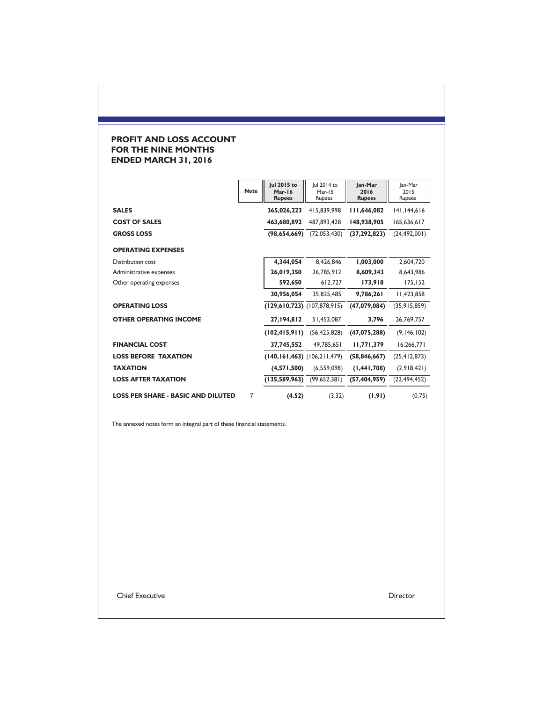## **PROFIT AND LOSS ACCOUNT FOR THE NINE MONTHS ENDED MARCH 31, 2016**

|                                           | <b>Note</b> | Jul 2015 to<br>Mar-16<br><b>Rupees</b> | Jul 2014 to<br>Mar-15<br>Rupees | Jan-Mar<br>2016<br><b>Rupees</b> | Jan-Mar<br>2015<br>Rupees |
|-------------------------------------------|-------------|----------------------------------------|---------------------------------|----------------------------------|---------------------------|
| <b>SALES</b>                              |             | 365,026,223                            | 415.839.998                     | 111,646,082                      | 141,144,616               |
| <b>COST OF SALES</b>                      |             | 463,680,892                            | 487.893.428                     | 148,938,905                      | 165,636,617               |
| <b>GROSS LOSS</b>                         |             | (98,654,669)                           | (72,053,430)                    | (37, 292, 823)                   | (24, 492, 001)            |
| <b>OPERATING EXPENSES</b>                 |             |                                        |                                 |                                  |                           |
| Distribution cost                         |             | 4,344,054                              | 8,426,846                       | 1,003,000                        | 2,604,720                 |
| Administrative expenses                   |             | 26,019,350                             | 26,785,912                      | 8,609,343                        | 8,643,986                 |
| Other operating expenses                  |             | 592,650                                | 612,727                         | 173,918                          | 175,152                   |
|                                           |             | 30,956,054                             | 35,825,485                      | 9,786,261                        | 11,423,858                |
| <b>OPERATING LOSS</b>                     |             | $(129,610,723)$ $(107,878,915)$        |                                 | (47,079,084)                     | (35, 915, 859)            |
| <b>OTHER OPERATING INCOME</b>             |             | 27,194,812                             | 51,453,087                      | 3,796                            | 26,769,757                |
|                                           |             | (102, 415, 911)                        | (56, 425, 828)                  | (47,075,288)                     | (9, 146, 102)             |
| <b>FINANCIAL COST</b>                     |             | 37,745,552                             | 49,785,651                      | 11,771,379                       | 16,266,771                |
| <b>LOSS BEFORE TAXATION</b>               |             | $(140, 161, 463)$ $(106, 211, 479)$    |                                 | (58, 846, 667)                   | (25, 412, 873)            |
| <b>TAXATION</b>                           |             | (4,571,500)                            | (6,559,098)                     | (1, 441, 708)                    | (2,918,421)               |
| <b>LOSS AFTER TAXATION</b>                |             | (135,589,963)                          | (99,652,381)                    | (57, 404, 959)                   | (22, 494, 452)            |
| <b>LOSS PER SHARE - BASIC AND DILUTED</b> | 7           | (4.52)                                 | (3.32)                          | (1.91)                           | (0.75)                    |

The annexed notes form an integral part of these financial statements.

Chief Executive Director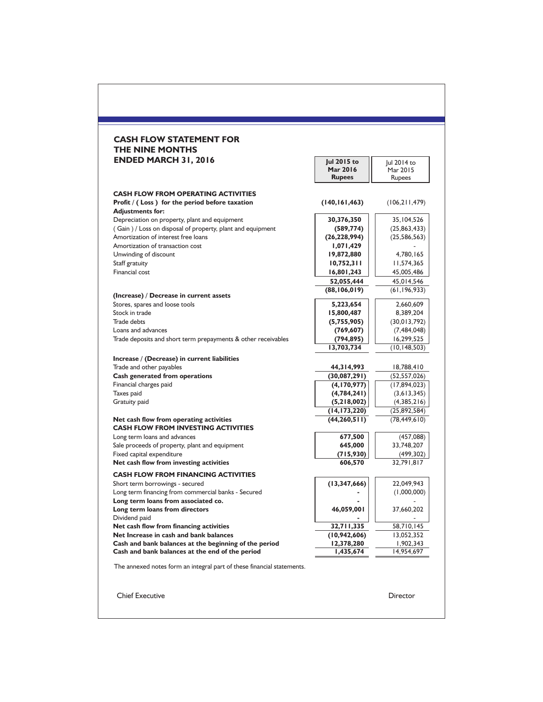| <b>CASH FLOW STATEMENT FOR</b><br>THE NINE MONTHS                                                                         |                                          |                                   |
|---------------------------------------------------------------------------------------------------------------------------|------------------------------------------|-----------------------------------|
| <b>ENDED MARCH 31, 2016</b>                                                                                               | Jul 2015 to<br>Mar 2016<br><b>Rupees</b> | Jul 2014 to<br>Mar 2015<br>Rupees |
| <b>CASH FLOW FROM OPERATING ACTIVITIES</b><br>Profit $/$ (Loss) for the period before taxation<br><b>Adjustments for:</b> | (140, 161, 463)                          | (106, 211, 479)                   |
| Depreciation on property, plant and equipment                                                                             | 30,376,350                               | 35,104,526                        |
| (Gain) / Loss on disposal of property, plant and equipment                                                                | (589, 774)                               | (25,863,433)                      |
| Amortization of interest free loans                                                                                       | (26, 228, 994)                           | (25, 586, 563)                    |
| Amortization of transaction cost                                                                                          | 1,071,429                                |                                   |
| Unwinding of discount                                                                                                     | 19,872,880                               | 4,780,165                         |
| Staff gratuity                                                                                                            | 10,752,311                               | I I,574,365                       |
| Financial cost                                                                                                            | 16,801,243                               | 45,005,486                        |
|                                                                                                                           | 52,055,444                               | 45,014,546                        |
| (Increase) / Decrease in current assets                                                                                   | (88, 106, 019)                           | (61, 196, 933)                    |
| Stores, spares and loose tools                                                                                            | 5,223,654                                | 2,660,609                         |
| Stock in trade                                                                                                            | 15,800,487                               | 8,389,204                         |
| <b>Trade debts</b>                                                                                                        | (5,755,905)                              | (30, 013, 792)                    |
| Loans and advances                                                                                                        | (769, 607)                               | (7,484,048)                       |
| Trade deposits and short term prepayments & other receivables                                                             | (794, 895)                               | 16,299,525                        |
|                                                                                                                           | 13,703,734                               | (10, 148, 503)                    |
| Increase / (Decrease) in current liabilities                                                                              |                                          |                                   |
| Trade and other payables                                                                                                  | 44,314,993                               | 18,788,410                        |
| Cash generated from operations                                                                                            | (30,087,291)                             | (52, 557, 026)                    |
| Financial charges paid                                                                                                    | (4, 170, 977)                            | (17,894,023)                      |
| Taxes paid                                                                                                                | (4,784,241)                              | (3,613,345)                       |
| Gratuity paid                                                                                                             | (5,218,002)                              | (4,385,216)                       |
| Net cash flow from operating activities                                                                                   | (14, 173, 220)<br>(44, 260, 511)         | (25,892,584)<br>(78, 449, 610)    |
| <b>CASH FLOW FROM INVESTING ACTIVITIES</b>                                                                                |                                          |                                   |
| Long term loans and advances                                                                                              | 677,500                                  | (457,088)                         |
| Sale proceeds of property, plant and equipment                                                                            | 645,000                                  | 33,748,207                        |
| Fixed capital expenditure                                                                                                 | (715, 930)                               | (499, 302)                        |
| Net cash flow from investing activities                                                                                   | 606,570                                  | 32,791,817                        |
| <b>CASH FLOW FROM FINANCING ACTIVITIES</b>                                                                                |                                          |                                   |
| Short term borrowings - secured                                                                                           | (13, 347, 666)                           | 22,049,943                        |
| Long term financing from commercial banks - Secured                                                                       |                                          | (1,000,000)                       |
| Long term loans from associated co.                                                                                       |                                          |                                   |
| Long term loans from directors                                                                                            | 46,059,001                               | 37,660,202                        |
| Dividend paid                                                                                                             |                                          |                                   |
| Net cash flow from financing activities                                                                                   | 32,711,335                               | 58,710,145                        |
| Net Increase in cash and bank balances                                                                                    | (10, 942, 606)                           | 13,052,352                        |
| Cash and bank balances at the beginning of the period<br>Cash and bank balances at the end of the period                  | 12,378,280<br>1,435,674                  | 1,902,343<br>14,954,697           |
|                                                                                                                           |                                          |                                   |
| The annexed notes form an integral part of these financial statements.                                                    |                                          |                                   |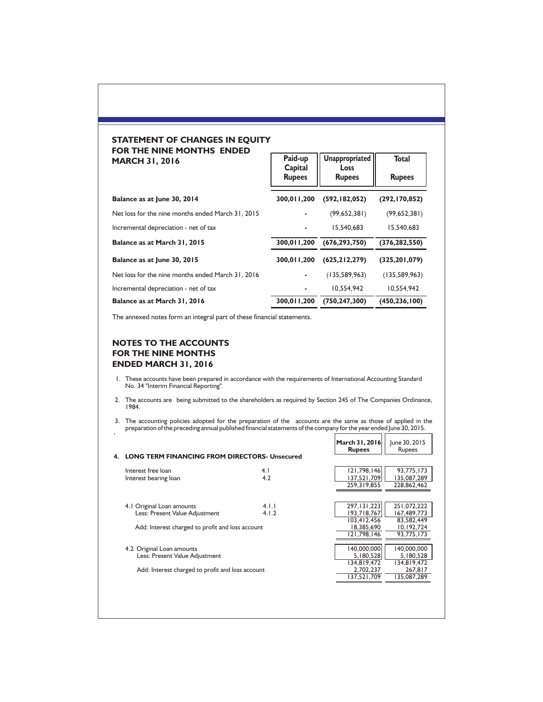#### **STATEMENT OF CHANGES IN EQUITY FOR THE NINE MONTHS ENDED**  $\Gamma$ **MARCH 31, 2016**

| <b>MARCH 31, 2016</b>                             | Paid-up                  | Unappropriated               | <b>Total</b>    |
|---------------------------------------------------|--------------------------|------------------------------|-----------------|
|                                                   | Capital<br><b>Rupees</b> | <b>Loss</b><br><b>Rupees</b> | <b>Rupees</b>   |
| Balance as at June 30, 2014                       | 300,011,200              | (592, 182, 052)              | (292, 170, 852) |
| Net loss for the nine months ended March 31, 2015 |                          | (99,652,381)                 | (99,652,381)    |
| Incremental depreciation - net of tax             |                          | 15.540.683                   | 15.540.683      |
| Balance as at March 31, 2015                      | 300,011,200              | (676, 293, 750)              | (376, 282, 550) |
| Balance as at June 30, 2015                       | 300.011.200              | (625, 212, 279)              | (325, 201, 079) |
| Net loss for the nine months ended March 31, 2016 |                          | (135, 589, 963)              | (135, 589, 963) |
| Incremental depreciation - net of tax             |                          | 10.554.942                   | 10.554.942      |
| Balance as at March 31, 2016                      | 300,011,200              | (750, 247, 300)              | (450,236,100)   |

The annexed notes form an integral part of these financial statements.

### **NOTES TO THE ACCOUNTS FOR THE NINE MONTHS ENDED MARCH 31, 2016**

- 1. These accounts have been prepared in accordance with the requirements of International Accounting Standard No. 34 "Interim Financial Reporting".
- 2. The accounts are being submitted to the shareholders as required by Section 245 of The Companies Ordinance, 1984.

3. The accounting policies adopted for the preparation of the accounts are the same as those of applied in the preparation of the preceding annual published financial statements of the company for the year ended June 30, 2015.

| $\epsilon$ |                                                      |       |                                 |                                |
|------------|------------------------------------------------------|-------|---------------------------------|--------------------------------|
|            |                                                      |       | March 31, 2016<br><b>Rupees</b> | June 30, 2015<br><b>Rupees</b> |
|            | <b>LONG TERM FINANCING FROM DIRECTORS- Unsecured</b> |       |                                 |                                |
|            | Interest free loan                                   | 4.1   | 121,798,146                     | 93,775,173                     |
|            | Interest bearing loan                                | 4.2   | 137,521,709                     | 135,087,289                    |
|            |                                                      |       | 259, 319, 855                   | 228,862,462                    |
|            |                                                      |       |                                 |                                |
|            | 4.1 Original Loan amounts                            | 4.1.1 | 297, 131, 223                   | 251,072,222                    |
|            | Less: Present Value Adjustment                       | 4.1.2 | 193,718,767                     | 167,489,773                    |
|            |                                                      |       | 103,412,456                     | 83,582,449                     |
|            | Add: Interest charged to profit and loss account     |       | 18,385,690                      | 10,192,724                     |
|            |                                                      |       | 121.798.146                     | 93,775,173                     |
|            |                                                      |       |                                 |                                |
|            | 4.2 Original Loan amounts                            |       | 140,000,000                     | 140,000,000                    |
|            | Less: Present Value Adjustment                       |       | 5,180,528                       | 5,180,528                      |
|            |                                                      |       | 134,819,472                     | 134,819,472                    |
|            | Add: Interest charged to profit and loss account     |       | 2,702,237                       | 267,817                        |
|            |                                                      |       | 137,521,709                     | 135,087,289                    |
|            |                                                      |       |                                 |                                |
|            |                                                      |       |                                 |                                |
|            |                                                      |       |                                 |                                |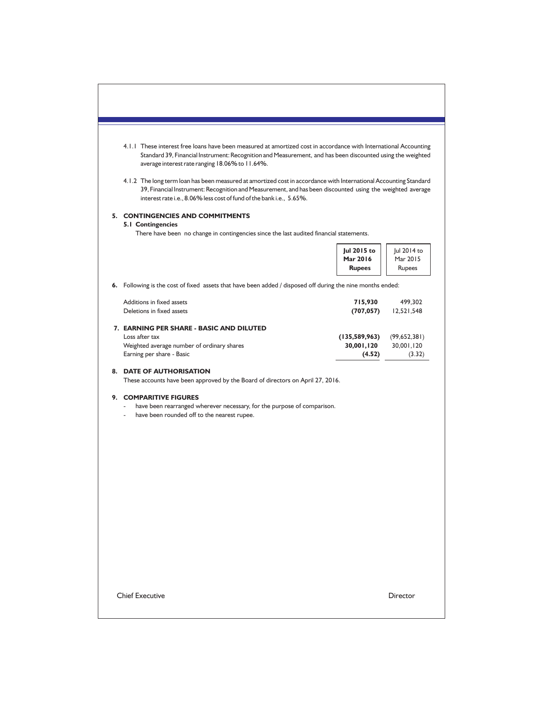| 4.1.1 These interest free loans have been measured at amortized cost in accordance with International Accounting<br>Standard 39, Financial Instrument: Recognition and Measurement, and has been discounted using the weighted<br>average interest rate ranging 18.06% to 11.64%.<br>4.1.2 The long term loan has been measured at amortized cost in accordance with International Accounting Standard<br>39, Financial Instrument: Recognition and Measurement, and has been discounted using the weighted average<br>interest rate i.e., 8.06% less cost of fund of the bank i.e., 5.65%. |                                          |                                      |
|---------------------------------------------------------------------------------------------------------------------------------------------------------------------------------------------------------------------------------------------------------------------------------------------------------------------------------------------------------------------------------------------------------------------------------------------------------------------------------------------------------------------------------------------------------------------------------------------|------------------------------------------|--------------------------------------|
| 5. CONTINGENCIES AND COMMITMENTS<br><b>5.1 Contingencies</b>                                                                                                                                                                                                                                                                                                                                                                                                                                                                                                                                |                                          |                                      |
| There have been no change in contingencies since the last audited financial statements.                                                                                                                                                                                                                                                                                                                                                                                                                                                                                                     |                                          |                                      |
|                                                                                                                                                                                                                                                                                                                                                                                                                                                                                                                                                                                             | Jul 2015 to<br>Mar 2016<br><b>Rupees</b> | Jul 2014 to<br>Mar 2015<br>Rupees    |
| 6. Following is the cost of fixed assets that have been added / disposed off during the nine months ended:                                                                                                                                                                                                                                                                                                                                                                                                                                                                                  |                                          |                                      |
| Additions in fixed assets<br>Deletions in fixed assets                                                                                                                                                                                                                                                                                                                                                                                                                                                                                                                                      | 715,930<br>(707, 057)                    | 499,302<br>12,521,548                |
| 7. EARNING PER SHARE - BASIC AND DILUTED<br>Loss after tax<br>Weighted average number of ordinary shares<br>Earning per share - Basic                                                                                                                                                                                                                                                                                                                                                                                                                                                       | (135, 589, 963)<br>30,001,120<br>(4.52)  | (99,652,381)<br>30,001,120<br>(3.32) |
| 8. DATE OF AUTHORISATION<br>These accounts have been approved by the Board of directors on April 27, 2016.                                                                                                                                                                                                                                                                                                                                                                                                                                                                                  |                                          |                                      |
| 9. COMPARITIVE FIGURES<br>have been rearranged wherever necessary, for the purpose of comparison.<br>have been rounded off to the nearest rupee.                                                                                                                                                                                                                                                                                                                                                                                                                                            |                                          |                                      |
|                                                                                                                                                                                                                                                                                                                                                                                                                                                                                                                                                                                             |                                          |                                      |
|                                                                                                                                                                                                                                                                                                                                                                                                                                                                                                                                                                                             |                                          |                                      |
|                                                                                                                                                                                                                                                                                                                                                                                                                                                                                                                                                                                             |                                          |                                      |
|                                                                                                                                                                                                                                                                                                                                                                                                                                                                                                                                                                                             |                                          |                                      |
|                                                                                                                                                                                                                                                                                                                                                                                                                                                                                                                                                                                             |                                          |                                      |
|                                                                                                                                                                                                                                                                                                                                                                                                                                                                                                                                                                                             |                                          |                                      |
| <b>Chief Executive</b>                                                                                                                                                                                                                                                                                                                                                                                                                                                                                                                                                                      |                                          | Director                             |